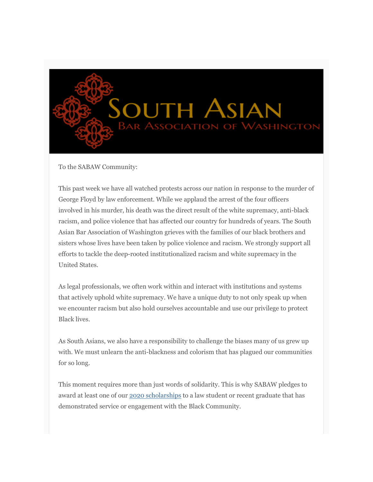

To the SABAW Community:

This past week we have all watched protests across our nation in response to the murder of George Floyd by law enforcement. While we applaud the arrest of the four officers involved in his murder, his death was the direct result of the white supremacy, anti-black racism, and police violence that has affected our country for hundreds of years. The South Asian Bar Association of Washington grieves with the families of our black brothers and sisters whose lives have been taken by police violence and racism. We strongly support all efforts to tackle the deep-rooted institutionalized racism and white supremacy in the United States.

As legal professionals, we often work within and interact with institutions and systems that actively uphold white supremacy. We have a unique duty to not only speak up when we encounter racism but also hold ourselves accountable and use our privilege to protect Black lives.

As South Asians, we also have a responsibility to challenge the biases many of us grew up with. We must unlearn the anti-blackness and colorism that has plagued our communities for so long.

This moment requires more than just words of solidarity. This is why SABAW pledges to award at least one of our 2020 [scholarships](https://sabaw.us7.list-manage.com/track/click?u=ad9052bf14de958a4233d6a10&id=703c80868b&e=8c620807df) to a law student or recent graduate that has demonstrated service or engagement with the Black Community.